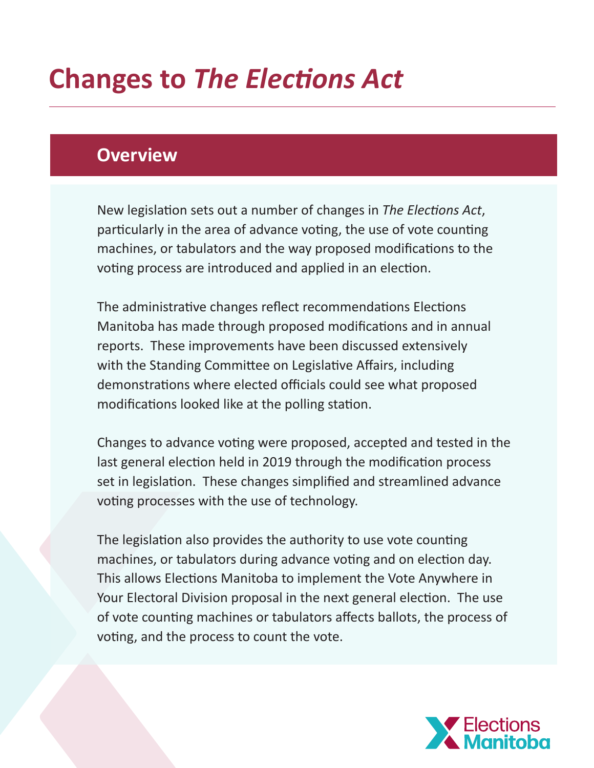# **Changes to** *The Elections Act*

## **Overview**

New legislation sets out a number of changes in *The Elections Act*, particularly in the area of advance voting, the use of vote counting machines, or tabulators and the way proposed modifications to the voting process are introduced and applied in an election.

The administrative changes reflect recommendations Elections Manitoba has made through proposed modifications and in annual reports. These improvements have been discussed extensively with the Standing Committee on Legislative Affairs, including demonstrations where elected officials could see what proposed modifications looked like at the polling station.

Changes to advance voting were proposed, accepted and tested in the last general election held in 2019 through the modification process set in legislation. These changes simplified and streamlined advance voting processes with the use of technology.

The legislation also provides the authority to use vote counting machines, or tabulators during advance voting and on election day. This allows Elections Manitoba to implement the Vote Anywhere in Your Electoral Division proposal in the next general election. The use of vote counting machines or tabulators affects ballots, the process of voting, and the process to count the vote.

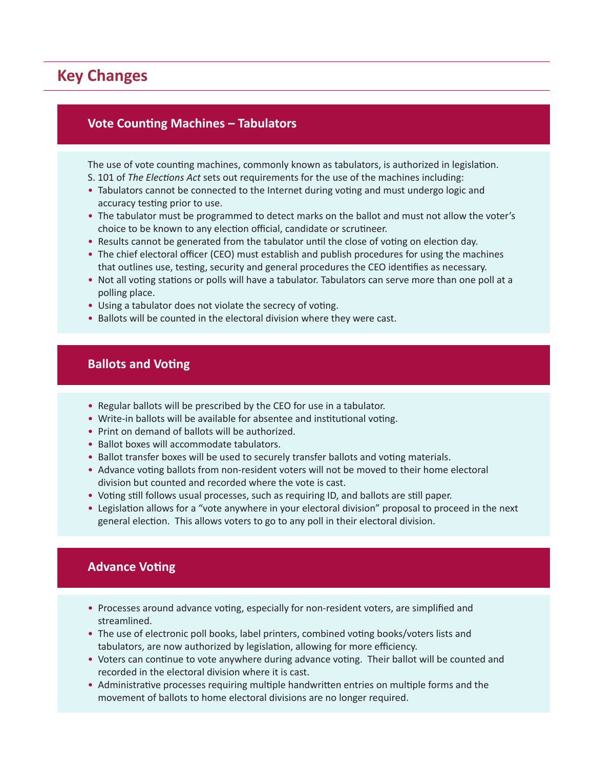### **Key Changes**

#### **Vote Counting Machines – Tabulators**

#### The use of vote counting machines, commonly known as tabulators, is authorized in legislation. S. 101 of *The Elections Act* sets out requirements for the use of the machines including:

- Tabulators cannot be connected to the Internet during voting and must undergo logic and accuracy testing prior to use.
- The tabulator must be programmed to detect marks on the ballot and must not allow the voter's choice to be known to any election official, candidate or scrutineer.
- Results cannot be generated from the tabulator until the close of voting on election day.
- The chief electoral officer (CEO) must establish and publish procedures for using the machines that outlines use, testing, security and general procedures the CEO identifies as necessary.
- Not all voting stations or polls will have a tabulator. Tabulators can serve more than one poll at a polling place.
- Using a tabulator does not violate the secrecy of voting.
- Ballots will be counted in the electoral division where they were cast.

#### **Ballots and Voting**

- Regular ballots will be prescribed by the CEO for use in a tabulator.
- Write-in ballots will be available for absentee and institutional voting.
- Print on demand of ballots will be authorized.
- Ballot boxes will accommodate tabulators.
- Ballot transfer boxes will be used to securely transfer ballots and voting materials.
- Advance voting ballots from non-resident voters will not be moved to their home electoral division but counted and recorded where the vote is cast.
- Voting still follows usual processes, such as requiring ID, and ballots are still paper.
- Legislation allows for a "vote anywhere in your electoral division" proposal to proceed in the next general election. This allows voters to go to any poll in their electoral division.

#### **Advance Voting**

- Processes around advance voting, especially for non-resident voters, are simplified and streamlined.
- The use of electronic poll books, label printers, combined voting books/voters lists and tabulators, are now authorized by legislation, allowing for more efficiency.
- Voters can continue to vote anywhere during advance voting. Their ballot will be counted and recorded in the electoral division where it is cast.
- Administrative processes requiring multiple handwritten entries on multiple forms and the movement of ballots to home electoral divisions are no longer required.